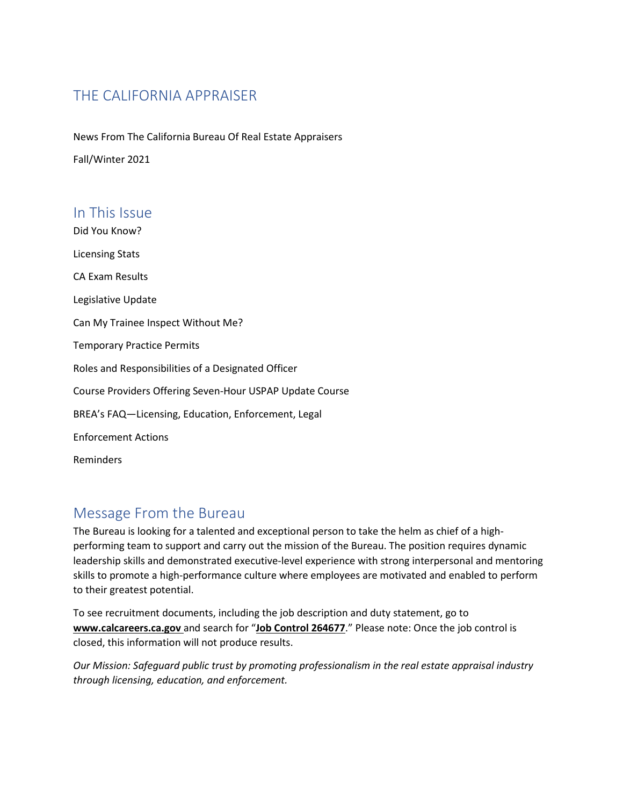# THE CALIFORNIA APPRAISER

News From The California Bureau Of Real Estate Appraisers Fall/Winter 2021

### In This Issue

Did You Know? Licensing Stats CA Exam Results Legislative Update Can My Trainee Inspect Without Me? Temporary Practice Permits Roles and Responsibilities of a Designated Officer Course Providers Offering Seven-Hour USPAP Update Course BREA's FAQ—Licensing, Education, Enforcement, Legal Enforcement Actions Reminders

# Message From the Bureau

The Bureau is looking for a talented and exceptional person to take the helm as chief of a highperforming team to support and carry out the mission of the Bureau. The position requires dynamic leadership skills and demonstrated executive-level experience with strong interpersonal and mentoring skills to promote a high-performance culture where employees are motivated and enabled to perform to their greatest potential.

To see recruitment documents, including the job description and duty statement, go to **www.calcareers.ca.gov** and search for "**Job Control 264677**." Please note: Once the job control is closed, this information will not produce results.

*Our Mission: Safeguard public trust by promoting professionalism in the real estate appraisal industry through licensing, education, and enforcement.*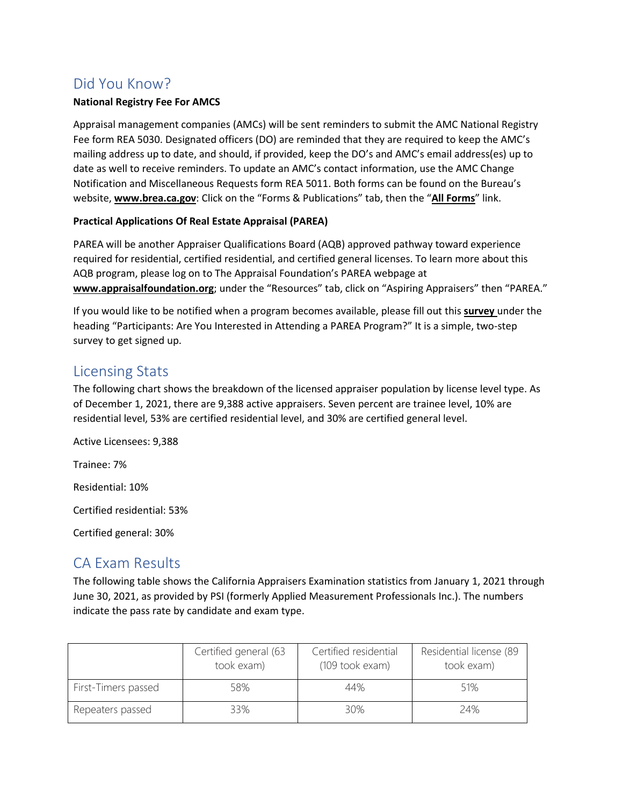## Did You Know?

#### **National Registry Fee For AMCS**

Appraisal management companies (AMCs) will be sent reminders to submit the AMC National Registry Fee form REA 5030. Designated officers (DO) are reminded that they are required to keep the AMC's mailing address up to date, and should, if provided, keep the DO's and AMC's email address(es) up to date as well to receive reminders. To update an AMC's contact information, use the AMC Change Notification and Miscellaneous Requests form REA 5011. Both forms can be found on the Bureau's website, **www.brea.ca.gov**: Click on the "Forms & Publications" tab, then the "**All Forms**" link.

### **Practical Applications Of Real Estate Appraisal (PAREA)**

PAREA will be another Appraiser Qualifications Board (AQB) approved pathway toward experience required for residential, certified residential, and certified general licenses. To learn more about this AQB program, please log on to The Appraisal Foundation's PAREA webpage at **www.appraisalfoundation.org**; under the "Resources" tab, click on "Aspiring Appraisers" then "PAREA."

If you would like to be notified when a program becomes available, please fill out this **survey** under the heading "Participants: Are You Interested in Attending a PAREA Program?" It is a simple, two-step survey to get signed up.

### Licensing Stats

The following chart shows the breakdown of the licensed appraiser population by license level type. As of December 1, 2021, there are 9,388 active appraisers. Seven percent are trainee level, 10% are residential level, 53% are certified residential level, and 30% are certified general level.

Active Licensees: 9,388

Trainee: 7%

Residential: 10%

Certified residential: 53%

Certified general: 30%

## CA Exam Results

The following table shows the California Appraisers Examination statistics from January 1, 2021 through June 30, 2021, as provided by PSI (formerly Applied Measurement Professionals Inc.). The numbers indicate the pass rate by candidate and exam type.

|                     | Certified general (63<br>took exam) | Certified residential<br>(109 took exam) | Residential license (89<br>took exam) |
|---------------------|-------------------------------------|------------------------------------------|---------------------------------------|
| First-Timers passed | 58%                                 | 44%                                      | 51%                                   |
| Repeaters passed    | 33%                                 | 30%                                      | 74%                                   |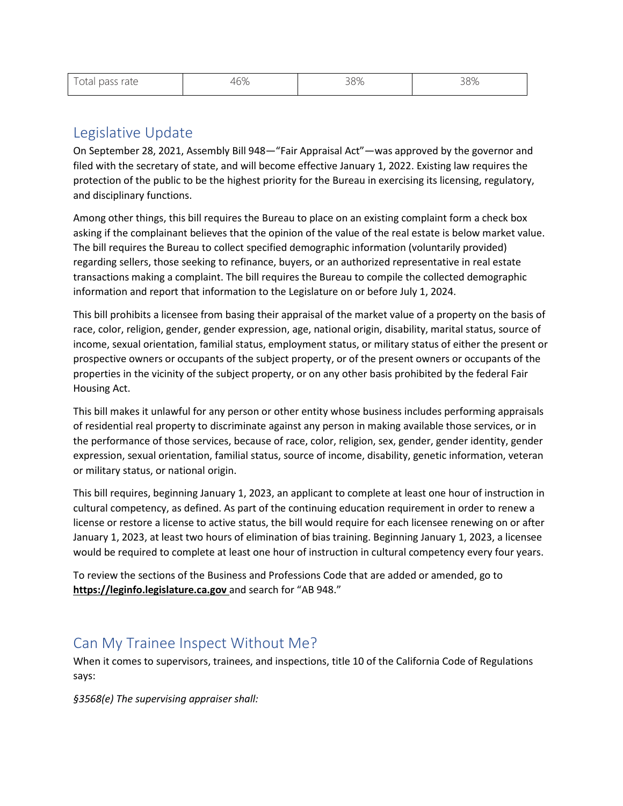| Total pass rate | $\sim$ $\sim$<br>46% | 38% | 38% |
|-----------------|----------------------|-----|-----|
|                 |                      |     |     |

### Legislative Update

On September 28, 2021, Assembly Bill 948—"Fair Appraisal Act"—was approved by the governor and filed with the secretary of state, and will become effective January 1, 2022. Existing law requires the protection of the public to be the highest priority for the Bureau in exercising its licensing, regulatory, and disciplinary functions.

Among other things, this bill requires the Bureau to place on an existing complaint form a check box asking if the complainant believes that the opinion of the value of the real estate is below market value. The bill requires the Bureau to collect specified demographic information (voluntarily provided) regarding sellers, those seeking to refinance, buyers, or an authorized representative in real estate transactions making a complaint. The bill requires the Bureau to compile the collected demographic information and report that information to the Legislature on or before July 1, 2024.

This bill prohibits a licensee from basing their appraisal of the market value of a property on the basis of race, color, religion, gender, gender expression, age, national origin, disability, marital status, source of income, sexual orientation, familial status, employment status, or military status of either the present or prospective owners or occupants of the subject property, or of the present owners or occupants of the properties in the vicinity of the subject property, or on any other basis prohibited by the federal Fair Housing Act.

This bill makes it unlawful for any person or other entity whose business includes performing appraisals of residential real property to discriminate against any person in making available those services, or in the performance of those services, because of race, color, religion, sex, gender, gender identity, gender expression, sexual orientation, familial status, source of income, disability, genetic information, veteran or military status, or national origin.

This bill requires, beginning January 1, 2023, an applicant to complete at least one hour of instruction in cultural competency, as defined. As part of the continuing education requirement in order to renew a license or restore a license to active status, the bill would require for each licensee renewing on or after January 1, 2023, at least two hours of elimination of bias training. Beginning January 1, 2023, a licensee would be required to complete at least one hour of instruction in cultural competency every four years.

To review the sections of the Business and Professions Code that are added or amended, go to **https://leginfo.legislature.ca.gov** and search for "AB 948."

### Can My Trainee Inspect Without Me?

When it comes to supervisors, trainees, and inspections, title 10 of the California Code of Regulations says:

*§3568(e) The supervising appraiser shall:*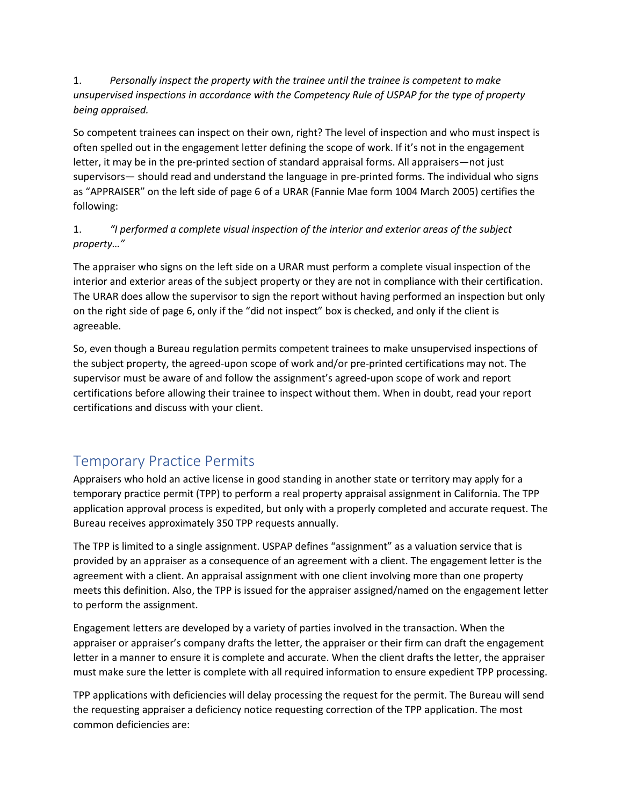1. *Personally inspect the property with the trainee until the trainee is competent to make unsupervised inspections in accordance with the Competency Rule of USPAP for the type of property being appraised.* 

So competent trainees can inspect on their own, right? The level of inspection and who must inspect is often spelled out in the engagement letter defining the scope of work. If it's not in the engagement letter, it may be in the pre-printed section of standard appraisal forms. All appraisers—not just supervisors— should read and understand the language in pre-printed forms. The individual who signs as "APPRAISER" on the left side of page 6 of a URAR (Fannie Mae form 1004 March 2005) certifies the following:

### 1. *"I performed a complete visual inspection of the interior and exterior areas of the subject property…"*

The appraiser who signs on the left side on a URAR must perform a complete visual inspection of the interior and exterior areas of the subject property or they are not in compliance with their certification. The URAR does allow the supervisor to sign the report without having performed an inspection but only on the right side of page 6, only if the "did not inspect" box is checked, and only if the client is agreeable.

So, even though a Bureau regulation permits competent trainees to make unsupervised inspections of the subject property, the agreed-upon scope of work and/or pre-printed certifications may not. The supervisor must be aware of and follow the assignment's agreed-upon scope of work and report certifications before allowing their trainee to inspect without them. When in doubt, read your report certifications and discuss with your client.

# Temporary Practice Permits

Appraisers who hold an active license in good standing in another state or territory may apply for a temporary practice permit (TPP) to perform a real property appraisal assignment in California. The TPP application approval process is expedited, but only with a properly completed and accurate request. The Bureau receives approximately 350 TPP requests annually.

The TPP is limited to a single assignment. USPAP defines "assignment" as a valuation service that is provided by an appraiser as a consequence of an agreement with a client. The engagement letter is the agreement with a client. An appraisal assignment with one client involving more than one property meets this definition. Also, the TPP is issued for the appraiser assigned/named on the engagement letter to perform the assignment.

Engagement letters are developed by a variety of parties involved in the transaction. When the appraiser or appraiser's company drafts the letter, the appraiser or their firm can draft the engagement letter in a manner to ensure it is complete and accurate. When the client drafts the letter, the appraiser must make sure the letter is complete with all required information to ensure expedient TPP processing.

TPP applications with deficiencies will delay processing the request for the permit. The Bureau will send the requesting appraiser a deficiency notice requesting correction of the TPP application. The most common deficiencies are: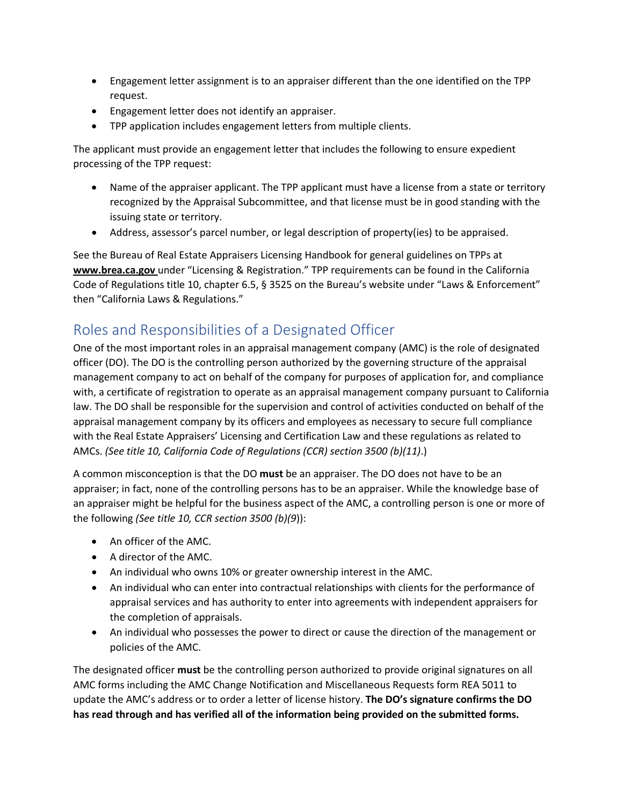- Engagement letter assignment is to an appraiser different than the one identified on the TPP request.
- Engagement letter does not identify an appraiser.
- TPP application includes engagement letters from multiple clients.

The applicant must provide an engagement letter that includes the following to ensure expedient processing of the TPP request:

- Name of the appraiser applicant. The TPP applicant must have a license from a state or territory recognized by the Appraisal Subcommittee, and that license must be in good standing with the issuing state or territory.
- Address, assessor's parcel number, or legal description of property(ies) to be appraised.

See the Bureau of Real Estate Appraisers Licensing Handbook for general guidelines on TPPs at **www.brea.ca.gov** under "Licensing & Registration." TPP requirements can be found in the California Code of Regulations title 10, chapter 6.5, § 3525 on the Bureau's website under "Laws & Enforcement" then "California Laws & Regulations."

## Roles and Responsibilities of a Designated Officer

One of the most important roles in an appraisal management company (AMC) is the role of designated officer (DO). The DO is the controlling person authorized by the governing structure of the appraisal management company to act on behalf of the company for purposes of application for, and compliance with, a certificate of registration to operate as an appraisal management company pursuant to California law. The DO shall be responsible for the supervision and control of activities conducted on behalf of the appraisal management company by its officers and employees as necessary to secure full compliance with the Real Estate Appraisers' Licensing and Certification Law and these regulations as related to AMCs. *(See title 10, California Code of Regulations (CCR) section 3500 (b)(11)*.)

A common misconception is that the DO **must** be an appraiser. The DO does not have to be an appraiser; in fact, none of the controlling persons has to be an appraiser. While the knowledge base of an appraiser might be helpful for the business aspect of the AMC, a controlling person is one or more of the following *(See title 10, CCR section 3500 (b)(9*)):

- An officer of the AMC.
- A director of the AMC.
- An individual who owns 10% or greater ownership interest in the AMC.
- An individual who can enter into contractual relationships with clients for the performance of appraisal services and has authority to enter into agreements with independent appraisers for the completion of appraisals.
- An individual who possesses the power to direct or cause the direction of the management or policies of the AMC.

The designated officer **must** be the controlling person authorized to provide original signatures on all AMC forms including the AMC Change Notification and Miscellaneous Requests form REA 5011 to update the AMC's address or to order a letter of license history. **The DO's signature confirms the DO has read through and has verified all of the information being provided on the submitted forms.**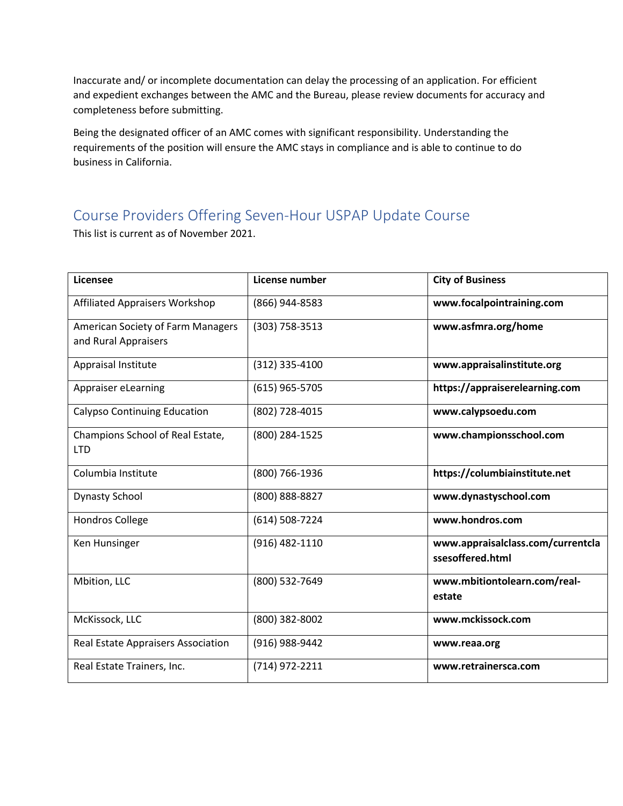Inaccurate and/ or incomplete documentation can delay the processing of an application. For efficient and expedient exchanges between the AMC and the Bureau, please review documents for accuracy and completeness before submitting.

Being the designated officer of an AMC comes with significant responsibility. Understanding the requirements of the position will ensure the AMC stays in compliance and is able to continue to do business in California.

# Course Providers Offering Seven-Hour USPAP Update Course

This list is current as of November 2021.

| Licensee                                                         | License number | <b>City of Business</b>                               |
|------------------------------------------------------------------|----------------|-------------------------------------------------------|
| <b>Affiliated Appraisers Workshop</b>                            | (866) 944-8583 | www.focalpointraining.com                             |
| <b>American Society of Farm Managers</b><br>and Rural Appraisers | (303) 758-3513 | www.asfmra.org/home                                   |
| Appraisal Institute                                              | (312) 335-4100 | www.appraisalinstitute.org                            |
| Appraiser eLearning                                              | (615) 965-5705 | https://appraiserelearning.com                        |
| <b>Calypso Continuing Education</b>                              | (802) 728-4015 | www.calypsoedu.com                                    |
| Champions School of Real Estate,<br><b>LTD</b>                   | (800) 284-1525 | www.championsschool.com                               |
| Columbia Institute                                               | (800) 766-1936 | https://columbiainstitute.net                         |
| <b>Dynasty School</b>                                            | (800) 888-8827 | www.dynastyschool.com                                 |
| <b>Hondros College</b>                                           | (614) 508-7224 | www.hondros.com                                       |
| Ken Hunsinger                                                    | (916) 482-1110 | www.appraisalclass.com/currentcla<br>ssesoffered.html |
| Mbition, LLC                                                     | (800) 532-7649 | www.mbitiontolearn.com/real-<br>estate                |
| McKissock, LLC                                                   | (800) 382-8002 | www.mckissock.com                                     |
| Real Estate Appraisers Association                               | (916) 988-9442 | www.reaa.org                                          |
| Real Estate Trainers, Inc.                                       | (714) 972-2211 | www.retrainersca.com                                  |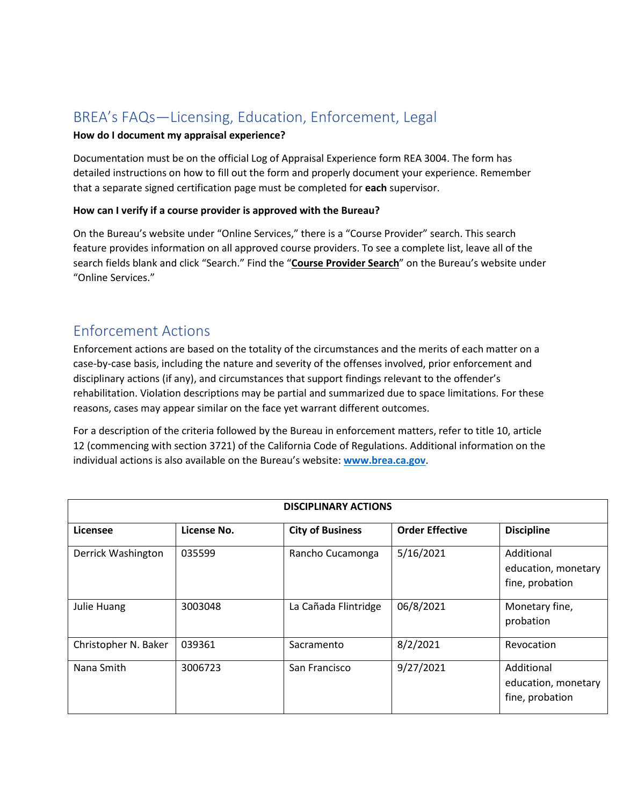## BREA's FAQs—Licensing, Education, Enforcement, Legal

### **How do I document my appraisal experience?**

Documentation must be on the official Log of Appraisal Experience form REA 3004. The form has detailed instructions on how to fill out the form and properly document your experience. Remember that a separate signed certification page must be completed for **each** supervisor.

### **How can I verify if a course provider is approved with the Bureau?**

On the Bureau's website under "Online Services," there is a "Course Provider" search. This search feature provides information on all approved course providers. To see a complete list, leave all of the search fields blank and click "Search." Find the "**Course Provider Search**" on the Bureau's website under "Online Services."

## Enforcement Actions

Enforcement actions are based on the totality of the circumstances and the merits of each matter on a case-by-case basis, including the nature and severity of the offenses involved, prior enforcement and disciplinary actions (if any), and circumstances that support findings relevant to the offender's rehabilitation. Violation descriptions may be partial and summarized due to space limitations. For these reasons, cases may appear similar on the face yet warrant different outcomes.

For a description of the criteria followed by the Bureau in enforcement matters, refer to title 10, article 12 (commencing with section 3721) of the California Code of Regulations. Additional information on the individual actions is also available on the Bureau's website: **[www.brea.ca.gov](http://www.brea.ca.gov/)**.

| <b>DISCIPLINARY ACTIONS</b> |             |                         |                        |                                                      |
|-----------------------------|-------------|-------------------------|------------------------|------------------------------------------------------|
| Licensee                    | License No. | <b>City of Business</b> | <b>Order Effective</b> | <b>Discipline</b>                                    |
| Derrick Washington          | 035599      | Rancho Cucamonga        | 5/16/2021              | Additional<br>education, monetary<br>fine, probation |
| <b>Julie Huang</b>          | 3003048     | La Cañada Flintridge    | 06/8/2021              | Monetary fine,<br>probation                          |
| Christopher N. Baker        | 039361      | Sacramento              | 8/2/2021               | Revocation                                           |
| Nana Smith                  | 3006723     | San Francisco           | 9/27/2021              | Additional<br>education, monetary<br>fine, probation |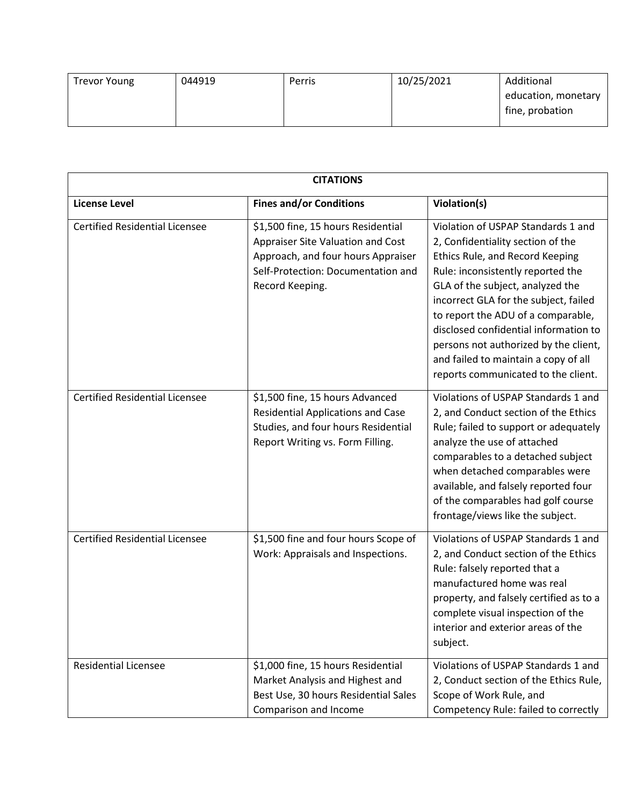| <b>Trevor Young</b> | 044919 | Perris | 10/25/2021 | Additional          |
|---------------------|--------|--------|------------|---------------------|
|                     |        |        |            | education, monetary |
|                     |        |        |            | fine, probation     |

| <b>CITATIONS</b>                      |                                                                                                                                                                        |                                                                                                                                                                                                                                                                                                                                                                                                                                     |  |
|---------------------------------------|------------------------------------------------------------------------------------------------------------------------------------------------------------------------|-------------------------------------------------------------------------------------------------------------------------------------------------------------------------------------------------------------------------------------------------------------------------------------------------------------------------------------------------------------------------------------------------------------------------------------|--|
| <b>License Level</b>                  | <b>Fines and/or Conditions</b>                                                                                                                                         | Violation(s)                                                                                                                                                                                                                                                                                                                                                                                                                        |  |
| <b>Certified Residential Licensee</b> | \$1,500 fine, 15 hours Residential<br>Appraiser Site Valuation and Cost<br>Approach, and four hours Appraiser<br>Self-Protection: Documentation and<br>Record Keeping. | Violation of USPAP Standards 1 and<br>2, Confidentiality section of the<br>Ethics Rule, and Record Keeping<br>Rule: inconsistently reported the<br>GLA of the subject, analyzed the<br>incorrect GLA for the subject, failed<br>to report the ADU of a comparable,<br>disclosed confidential information to<br>persons not authorized by the client,<br>and failed to maintain a copy of all<br>reports communicated to the client. |  |
| <b>Certified Residential Licensee</b> | \$1,500 fine, 15 hours Advanced<br><b>Residential Applications and Case</b><br>Studies, and four hours Residential<br>Report Writing vs. Form Filling.                 | Violations of USPAP Standards 1 and<br>2, and Conduct section of the Ethics<br>Rule; failed to support or adequately<br>analyze the use of attached<br>comparables to a detached subject<br>when detached comparables were<br>available, and falsely reported four<br>of the comparables had golf course<br>frontage/views like the subject.                                                                                        |  |
| <b>Certified Residential Licensee</b> | \$1,500 fine and four hours Scope of<br>Work: Appraisals and Inspections.                                                                                              | Violations of USPAP Standards 1 and<br>2, and Conduct section of the Ethics<br>Rule: falsely reported that a<br>manufactured home was real<br>property, and falsely certified as to a<br>complete visual inspection of the<br>interior and exterior areas of the<br>subject.                                                                                                                                                        |  |
| <b>Residential Licensee</b>           | \$1,000 fine, 15 hours Residential<br>Market Analysis and Highest and<br>Best Use, 30 hours Residential Sales<br>Comparison and Income                                 | Violations of USPAP Standards 1 and<br>2, Conduct section of the Ethics Rule,<br>Scope of Work Rule, and<br>Competency Rule: failed to correctly                                                                                                                                                                                                                                                                                    |  |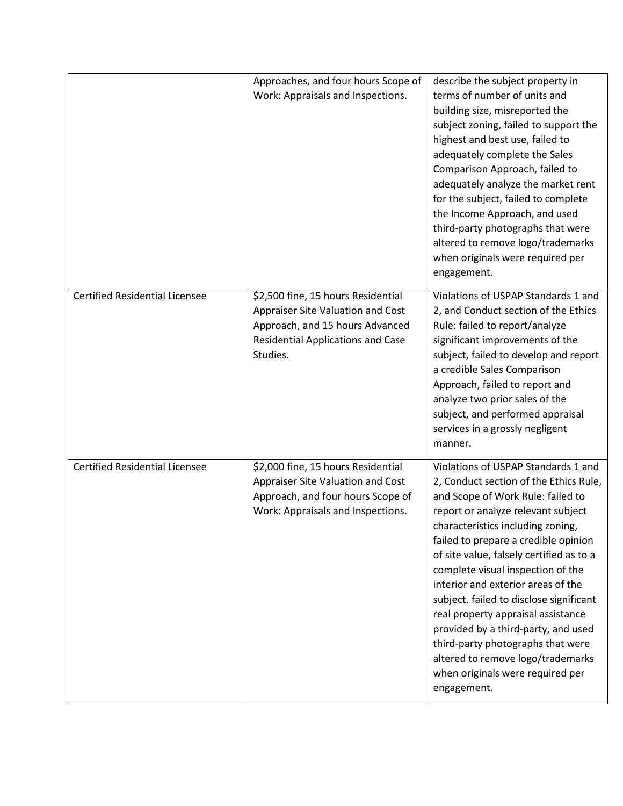|                                       | Approaches, and four hours Scope of<br>Work: Appraisals and Inspections.                                                                                           | describe the subject property in<br>terms of number of units and<br>building size, misreported the<br>subject zoning, failed to support the<br>highest and best use, failed to<br>adequately complete the Sales<br>Comparison Approach, failed to<br>adequately analyze the market rent<br>for the subject, failed to complete<br>the Income Approach, and used<br>third-party photographs that were<br>altered to remove logo/trademarks<br>when originals were required per<br>engagement.                                                                                                                      |
|---------------------------------------|--------------------------------------------------------------------------------------------------------------------------------------------------------------------|-------------------------------------------------------------------------------------------------------------------------------------------------------------------------------------------------------------------------------------------------------------------------------------------------------------------------------------------------------------------------------------------------------------------------------------------------------------------------------------------------------------------------------------------------------------------------------------------------------------------|
| <b>Certified Residential Licensee</b> | \$2,500 fine, 15 hours Residential<br>Appraiser Site Valuation and Cost<br>Approach, and 15 hours Advanced<br><b>Residential Applications and Case</b><br>Studies. | Violations of USPAP Standards 1 and<br>2, and Conduct section of the Ethics<br>Rule: failed to report/analyze<br>significant improvements of the<br>subject, failed to develop and report<br>a credible Sales Comparison<br>Approach, failed to report and<br>analyze two prior sales of the<br>subject, and performed appraisal<br>services in a grossly negligent<br>manner.                                                                                                                                                                                                                                    |
| <b>Certified Residential Licensee</b> | \$2,000 fine, 15 hours Residential<br>Appraiser Site Valuation and Cost<br>Approach, and four hours Scope of<br>Work: Appraisals and Inspections.                  | Violations of USPAP Standards 1 and<br>2, Conduct section of the Ethics Rule,<br>and Scope of Work Rule: failed to<br>report or analyze relevant subject<br>characteristics including zoning,<br>failed to prepare a credible opinion<br>of site value, falsely certified as to a<br>complete visual inspection of the<br>interior and exterior areas of the<br>subject, failed to disclose significant<br>real property appraisal assistance<br>provided by a third-party, and used<br>third-party photographs that were<br>altered to remove logo/trademarks<br>when originals were required per<br>engagement. |